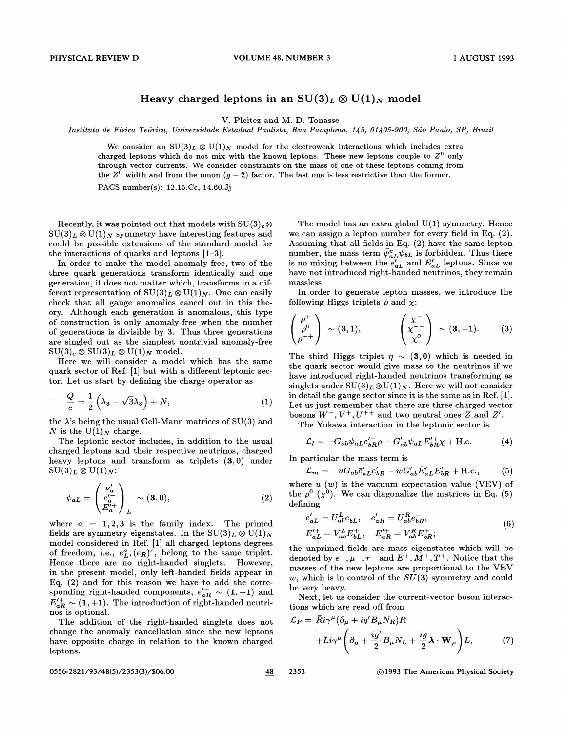## Heavy charged leptons in an  $SU(3)_L \otimes U(1)_N$  model

V. Pleitez and M. D. Tonasse

Instituto de Física Teórica, Universidade Estadual Paulista, Rua Pamplona, 145, 01405-900, São Paulo, SP, Brazil

We consider an  $SU(3)_L \otimes U(1)_N$  model for the electroweak interactions which includes extra charged leptons which do not mix with the known leptons. These new leptons couple to  $Z^0$  only through vector currents. We consider constraints on the mass of one of these leptons coming from the  $Z^0$  width and from the muon  $(g-2)$  factor. The last one is less restrictive than the former.

PACS number(s): 12.15.Cc, 14.60.3j

Recently, it was pointed out that models with  $SU(3)_c \otimes$  $\mathrm{SU}(3)_L\otimes \mathrm{U}(1)_N$  symmetry have interesting features and could be possible extensions of the standard model for the interactions of quarks and leptons [1—3].

In order to make the model anomaly-free, two of the three quark generations transform identically and one generation, it does not matter which, transforms in a different representation of  $SU(3)_L \otimes U(1)_N$ . One can easily check that all gauge anomalies cancel out in this theory. Although each generation is anomalous, this type of construction is only anomaly-free when the number of generations is divisible by 3. Thus three generations are singled out as the simplest nontrivial anomaly-free  $\mathrm{SU}(3)_c \otimes \mathrm{SU}(3)_L \otimes \mathrm{U}(1)_N$  model.

Here we will consider a model which has the same quark sector of Ref. [1] but with a different leptonic sector. Let us start by defining the charge operator as

$$
\frac{Q}{e} = \frac{1}{2} \left( \lambda_3 - \sqrt{3} \lambda_8 \right) + N, \tag{1}
$$

the  $\lambda$ 's being the usual Gell-Mann matrices of SU(3) and N is the  $U(1)_N$  charge.

The leptonic sector includes, in addition to the usual charged leptons and their respective neutrinos, charged heavy leptons and transform as triplets  $(3,0)$  under  $\mathrm{SU}(3)_L \otimes \mathrm{U}(1)_N$ :

$$
\psi_{aL} = \begin{pmatrix} \nu_a' \\ e_a'^{-} \\ E_a'^{+} \end{pmatrix}_L \sim (3,0), \tag{2}
$$

where  $a = 1, 2, 3$  is the family index. The primed fields are symmetry eigenstates. In the  $SU(3)_L \otimes U(1)_N$ model considered in Ref. [1] all charged leptons degrees of freedom, i.e.,  $e_L^a$ ,  $(e_R)^c$ , belong to the same triplet. Hence there are no right-handed singlets. However, in the present model, only left-handed fields appear in Eq.  $(2)$  and for this reason we have to add the corresponding right-handed components,  $e_{aR}^{\prime -} \sim (1,-1)$  and  $E'^{+}_{aR} \sim (1,+1)$ . The introduction of right-handed neutrinos is optional.

The addition of the right-handed singlets does not change the anomaly cancellation since the new leptons have opposite charge in relation to the known charged leptons.

The model has an extra global  $U(1)$  symmetry. Hence we can assign a lepton number for every field in Eq. (2). Assuming that all fields in Eq. (2) have the same lepton number, the mass term  $\bar{\psi}^c_{aL}\psi_{bL}$  is forbidden. Thus there is no mixing between the  $e'_{aL}$  and  $E'_{aL}$  leptons. Since we have not introduced right-handed neutrinos, they remain massless.

In order to generate lepton masses, we introduce the following Higgs triplets  $\rho$  and  $\chi$ :

$$
\begin{pmatrix} \rho^+ \\ \rho^0 \\ \rho^{++} \end{pmatrix} \sim (\mathbf{3}, 1), \qquad \qquad \begin{pmatrix} \chi^- \\ \chi^{--} \\ \chi^0 \end{pmatrix} \sim (\mathbf{3}, -1). \qquad (3)
$$

The third Higgs triplet  $\eta \sim (3, 0)$  which is needed in the quark sector would give mass to the neutrinos if we have introduced right-handed. neutrinos transforming as singlets under  $SU(3)_L \otimes U(1)_N$ . Here we will not consider in detail the gauge sector since it is the same as in Ref. [1]. Let us just remember that there are three charged vector bosons  $W^+, V^+, U^{++}$  and two neutral ones Z and Z'.

The Yukawa interaction in the leptonic sector is

$$
\mathcal{L}_l = -G_{ab}\bar{\psi}_{aL}e'_{bR}\rho - G'_{ab}\bar{\psi}_{aL}E'_{bR}\chi + \text{H.c.}
$$
 (4)

In particular the mass term is

$$
\mathcal{L}_m = -uG_{ab}\bar{e}_{aL}'e_{bR}' - wG_{ab}'\bar{E}_{aL}'E_{bR}' + \text{H.c.},\tag{5}
$$

where  $u(w)$  is the vacuum expectation value (VEV) of the  $\rho^0$  ( $\chi^0$ ). We can diagonalize the matrices in Eq. (5) defining

$$
e'_{aL} = U_{ab}^{L} e_{bL}^{-}, \quad e'_{aR} = U_{ab}^{R} e_{bR}^{-},
$$
  
\n
$$
E'_{aL} = V_{ab}^{L} E_{bL}^{+}, \quad E'_{aR}^{+} = V_{ab}^{R} E_{bR}^{+};
$$
  
\n(6)

the unprimed fields are mass eigenstates which will be denoted by  $e^-, \mu^-, \tau^-$  and  $E^+, M^+, T^+$ . Notice that the masses of the new leptons are proportional to the VEV w, which is in control of the  $SU(3)$  symmetry and could be very heavy.

Next, let us consider the current-vector boson interactions which are read off from

$$
\mathcal{L}_F = \bar{R}i\gamma^{\mu}(\partial_{\mu} + ig'B_{\mu}N_R)R
$$
  
 
$$
+ \bar{L}i\gamma^{\mu}\left(\partial_{\mu} + \frac{ig'}{2}B_{\mu}N_L + \frac{ig}{2}\lambda \cdot \mathbf{W}_{\mu}\right)L,
$$
 (7)

0556-2821/93/48(5)/2353(3)/\$06.00 48 2353 © 1993 The American Physical Society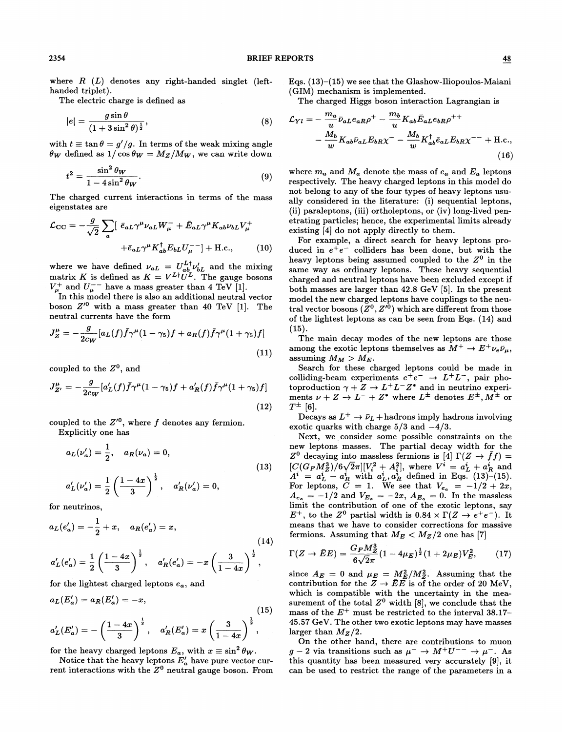$(13)$ 

where  $R(L)$  denotes any right-handed singlet (lefthanded triplet).

The electric charge is defined as

$$
|e| = \frac{g\sin\theta}{(1+3\sin^2\theta)^{\frac{1}{2}}},\tag{8}
$$

with  $t \equiv \tan \theta = g'/g$ . In terms of the weak mixing angle  $\theta_W$  defined as  $1/\cos \theta_W = M_Z/M_W$ , we can write down

$$
t^2 = \frac{\sin^2 \theta_W}{1 - 4\sin^2 \theta_W}.
$$
\n(9)

The charged current interactions in terms of the mass eigenstates are

$$
\mathcal{L}_{\text{CC}} = -\frac{g}{\sqrt{2}} \sum_{a} \left[ \overline{\epsilon}_{aL} \gamma^{\mu} \nu_{aL} W_{\mu}^{-} + \overline{E}_{aL} \gamma^{\mu} K_{ab} \nu_{bL} V_{\mu}^{+} + \overline{E}_{aL} \gamma^{\mu} K_{ab}^{\dagger} E_{bL} U_{\mu}^{-} \right] + \text{H.c.}, \qquad (10)
$$

where we have defined  $\nu_{aL} = U_{ab}^{L\dagger} \nu_{bL}$  and the mixing matrix K is defined as  $K = V^{L\dagger}U^{L}$ . The gauge bosons  $V^+_\mu$  and  $U^{-+}_\mu$  have a mass greater than 4 TeV [1].

In this model there is also an additional neutral vector boson  $Z'^0$  with a mass greater than 40 TeV [1]. The neutral currents have the form

$$
J_Z^{\mu} = -\frac{g}{2c_W} [a_L(f)\bar{f}\gamma^{\mu}(1-\gamma_5)f + a_R(f)\bar{f}\gamma^{\mu}(1+\gamma_5)f]
$$
\n(11)

coupled to the  $Z<sup>0</sup>$ , and

$$
J_{Z'}^{\mu} = -\frac{g}{2c_W} [a'_L(f)\bar{f}\gamma^{\mu}(1-\gamma_5)f + a'_R(f)\bar{f}\gamma^{\mu}(1+\gamma_5)f]
$$
\n(12)

coupled to the  $Z'^0$ , where  $f$  denotes any fermion.

Explicitly one has  

$$
a_L(\nu'_a) = \frac{1}{2}, \quad a_R(\nu_a) = 0,
$$

$$
a_L'(\nu_a') = \frac{1}{2}\left(\frac{1-4x}{3}\right)^{\frac{1}{2}}, \quad a_R'(\nu_a') = 0,
$$

for neutrinos,

$$
a_L(e'_a) = -\frac{1}{2} + x, \quad a_R(e'_a) = x,
$$
\n
$$
a'_L(e'_a) = \frac{1}{2} \left(\frac{1-4x}{3}\right)^{\frac{1}{2}}, \quad a'_R(e'_a) = -x \left(\frac{3}{1-4x}\right)^{\frac{1}{2}},
$$
\n(14)

for the lightest charged leptons  $e_a$ , and

$$
a_L(E'_a) = a_R(E'_a) = -x,
$$
\n
$$
a'_L(E'_a) = -\left(\frac{1-4x}{3}\right)^{\frac{1}{2}}, \quad a'_R(E'_a) = x\left(\frac{3}{1-4x}\right)^{\frac{1}{2}},
$$
\n(15)

for the heavy charged leptons  $E_a$ , with  $x \equiv \sin^2 \theta_W$ .

Notice that the heavy leptons  $E'_a$  have pure vector current interactions with the  $Z<sup>0</sup>$  neutral gauge boson. From Eqs.  $(13)$ – $(15)$  we see that the Glashow-Iliopoulos-Maiani (GIM) mechanism is implemented.

The charged Higgs boson interaction Lagrangian is

$$
\mathcal{L}_{Yl} = -\frac{m_a}{u} \bar{\nu}_{aL} e_{aR} \rho^+ - \frac{m_b}{u} K_{ab} \bar{E}_{aL} e_{bR} \rho^{++} \n- \frac{M_b}{w} K_{ab} \bar{\nu}_{aL} E_{bR} \chi^- - \frac{M_b}{w} K_{ab}^\dagger \bar{e}_{aL} E_{bR} \chi^{--} + \text{H.c.},
$$
\n(16)

where  $m_a$  and  $M_a$  denote the mass of  $e_a$  and  $E_a$  leptons respectively. The heavy charged leptons in this model do not belong to any of the four types of heavy leptons usually considered in the literature: (i) sequential leptons, (ii) paraleptons, (iii) ortholeptons, or (iv) long-lived penetrating particles; hence, the experimental limits already existing [4] do not apply directly to them.

For example, a direct search for heavy leptons produced in  $e^+e^-$  colliders has been done, but with the heavy leptons being assumed coupled to the  $Z^0$  in the same way as ordinary leptons. These heavy sequential charged and neutral leptons have been excluded except if both masses are larger than 42.8 GeV [5]. In the present model the new charged leptons have couplings to the neutral vector bosons  $(Z^0, Z'^0)$  which are different from those of the lightest leptons as can be seen from Eqs. (14) and  $(15).$ 

The main decay modes of the new leptons are those among the exotic leptons themselves as  $M^+ \to E^+ \nu_e \bar{\nu}_\mu$ , assuming  $M_M > M_E$ .

Search for these charged leptons could be made in colliding-beam experiments  $e^+e^- \rightarrow L^+L^-$ , pair photoproduction  $\gamma + Z \rightarrow L^+ L^- Z^*$  and in neutrino experiments  $\nu + Z \rightarrow L^- + Z^*$  where  $L^{\pm}$  denotes  $E^{\pm}$ ,  $M^{\pm}$  or  $T^{\pm}$  [6].

Decays as  $L^+ \rightarrow \bar{\nu}_L$  + hadrons imply hadrons involving exotic quarks with charge  $5/3$  and  $-4/3$ .

Next, we consider some possible constraints on the new leptons masses. The partial decay width for the  $Z^0$  decaying into massless fermions is [4]  $\Gamma(Z \to \bar{f}f) =$  $C(G_{F}M_{Z}^{3})/6\sqrt{2}\pi][V_{i}^{2} + A_{i}^{2}],$  where  $V^{i} = a_{L}^{i} + a_{R}^{i}$  and  $A^i = a_L^i - a_R^i$  with  $a_L^i, a_R^i$  defined in Eqs. (13)–(15). For leptons,  $C = 1$ . We see that  $V_{e_a} = -1/2 + 2x$ ,  $A_{e_a} = -1/2$  and  $V_{E_a} = -2x$ ,  $A_{E_a} = 0$ . In the massless limit the contribution of one of the exotic leptons, say  $E^+$ , to the  $Z^0$  partial width is  $0.84 \times \Gamma(Z \rightarrow e^+e^-)$ . It means that we have to consider corrections for massive fermions. Assuming that  $M_E < M_Z/2$  one has [7]

$$
\Gamma(Z \to \bar{E}E) = \frac{G_F M_Z^3}{6\sqrt{2}\pi} (1 - 4\mu_E)^{\frac{1}{2}} (1 + 2\mu_E) V_E^2, \qquad (17)
$$

since  $A_E = 0$  and  $\mu_E = M_E^2/M_Z^2$ . Assuming that the contribution for the  $Z \rightarrow \overline{E}E$  is of the order of 20 MeV, which is compatible with the uncertainty in the measurement of the total  $Z^0$  width [8], we conclude that the mass of the  $E^+$  must be restricted to the interval 38.17– 45.57 GeV. The other two exotic leptons may have masses larger than  $M_Z/2$ .

On the other hand, there are contributions to muon  $g - 2$  via transitions such as  $\mu^- \to M^+ U^{--} \to \mu^-$ . As this quantity has been measured very accurately [9], it can be used to restrict the range of the parameters in a